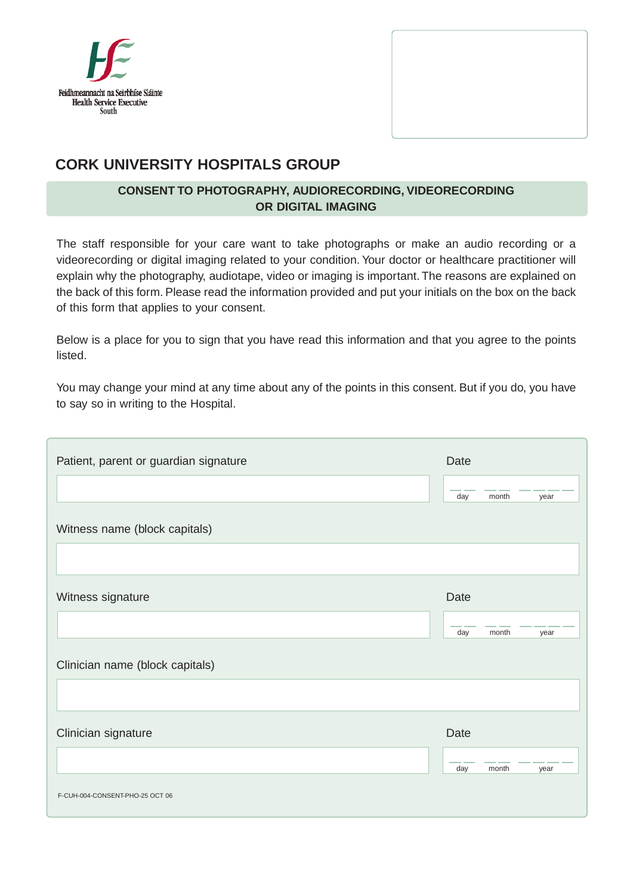



# **CORK UNIVERSITY HOSPITALS GROUP**

## **CONSENT TO PHOTOGRAPHY, AUDIORECORDING, VIDEORECORDING OR DIGITAL IMAGING**

The staff responsible for your care want to take photographs or make an audio recording or a videorecording or digital imaging related to your condition. Your doctor or healthcare practitioner will explain why the photography, audiotape, video or imaging is important. The reasons are explained on the back of this form. Please read the information provided and put your initials on the box on the back of this form that applies to your consent.

Below is a place for you to sign that you have read this information and that you agree to the points listed.

You may change your mind at any time about any of the points in this consent. But if you do, you have to say so in writing to the Hospital.

| Patient, parent or guardian signature | Date |       |      |
|---------------------------------------|------|-------|------|
|                                       | day  | month | year |
| Witness name (block capitals)         |      |       |      |
|                                       |      |       |      |
| Witness signature                     | Date |       |      |
|                                       | day  | month | year |
| Clinician name (block capitals)       |      |       |      |
|                                       |      |       |      |
| Clinician signature                   | Date |       |      |
|                                       | day  | month | year |
| F-CUH-004-CONSENT-PHO-25 OCT 06       |      |       |      |